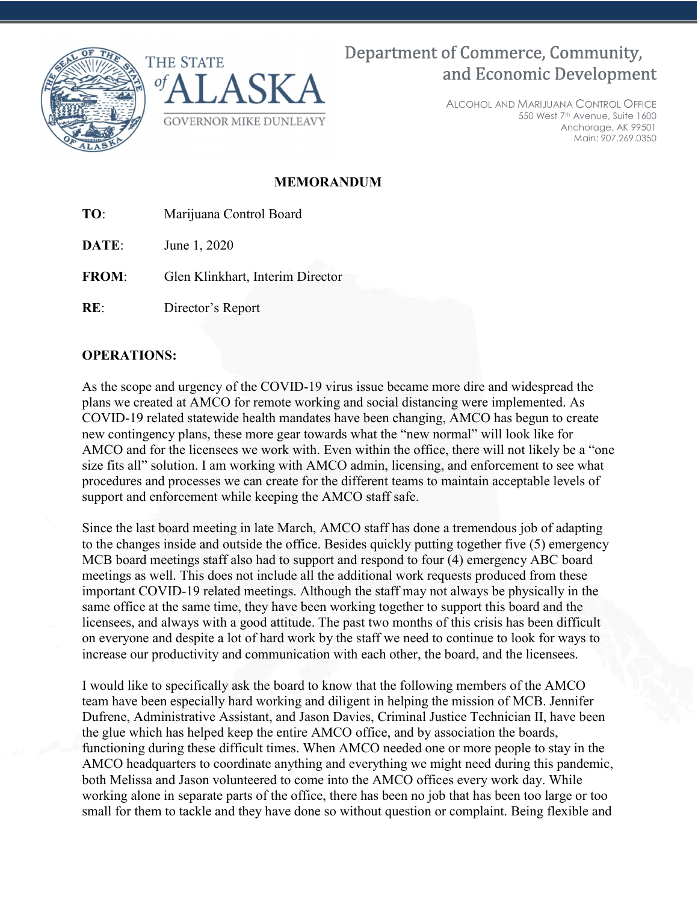



Department of Commerce, Community, and Economic Development

> ALCOHOL AND MARIJUANA CONTROL OFFICE 550 West 7th Avenue, Suite 1600 Anchorage, AK 99501 Main: 907.269.0350

## MEMORANDUM

TO: Marijuana Control Board

**DATE:** June 1, 2020

FROM: Glen Klinkhart, Interim Director

RE: Director's Report

## OPERATIONS:

As the scope and urgency of the COVID-19 virus issue became more dire and widespread the plans we created at AMCO for remote working and social distancing were implemented. As COVID-19 related statewide health mandates have been changing, AMCO has begun to create new contingency plans, these more gear towards what the "new normal" will look like for AMCO and for the licensees we work with. Even within the office, there will not likely be a "one size fits all" solution. I am working with AMCO admin, licensing, and enforcement to see what procedures and processes we can create for the different teams to maintain acceptable levels of support and enforcement while keeping the AMCO staff safe.

Since the last board meeting in late March, AMCO staff has done a tremendous job of adapting to the changes inside and outside the office. Besides quickly putting together five (5) emergency MCB board meetings staff also had to support and respond to four (4) emergency ABC board meetings as well. This does not include all the additional work requests produced from these important COVID-19 related meetings. Although the staff may not always be physically in the same office at the same time, they have been working together to support this board and the licensees, and always with a good attitude. The past two months of this crisis has been difficult on everyone and despite a lot of hard work by the staff we need to continue to look for ways to increase our productivity and communication with each other, the board, and the licensees.

I would like to specifically ask the board to know that the following members of the AMCO team have been especially hard working and diligent in helping the mission of MCB. Jennifer Dufrene, Administrative Assistant, and Jason Davies, Criminal Justice Technician II, have been the glue which has helped keep the entire AMCO office, and by association the boards, functioning during these difficult times. When AMCO needed one or more people to stay in the AMCO headquarters to coordinate anything and everything we might need during this pandemic, both Melissa and Jason volunteered to come into the AMCO offices every work day. While working alone in separate parts of the office, there has been no job that has been too large or too small for them to tackle and they have done so without question or complaint. Being flexible and